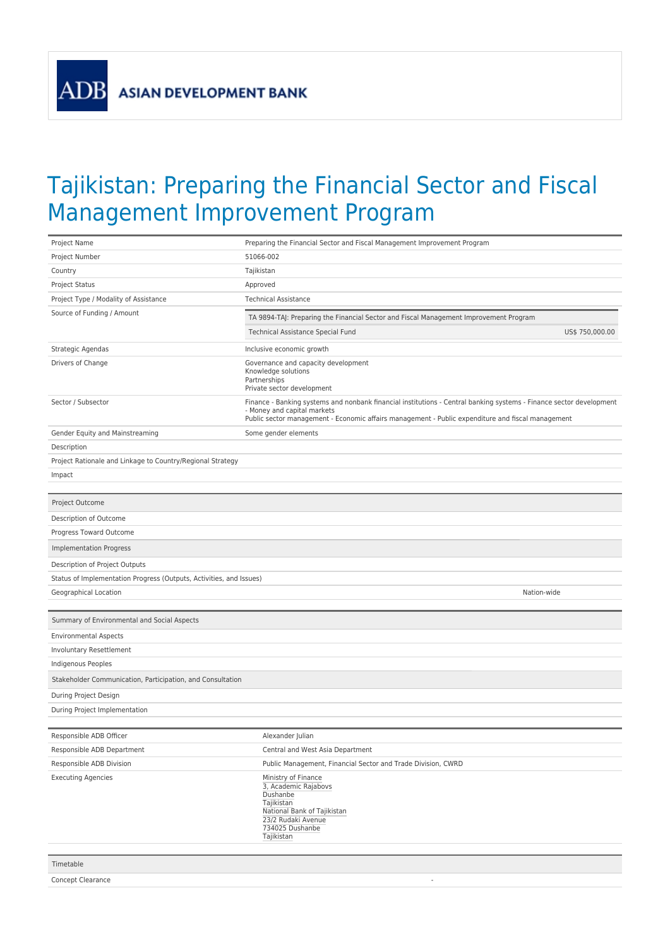**ADB** 

## Tajikistan: Preparing the Financial Sector and Fiscal Management Improvement Program

| Project Name                                                        | Preparing the Financial Sector and Fiscal Management Improvement Program                                                                                                                                                                                |  |  |  |
|---------------------------------------------------------------------|---------------------------------------------------------------------------------------------------------------------------------------------------------------------------------------------------------------------------------------------------------|--|--|--|
| Project Number                                                      | 51066-002                                                                                                                                                                                                                                               |  |  |  |
| Country                                                             | Tajikistan                                                                                                                                                                                                                                              |  |  |  |
| Project Status                                                      | Approved                                                                                                                                                                                                                                                |  |  |  |
| Project Type / Modality of Assistance                               | <b>Technical Assistance</b>                                                                                                                                                                                                                             |  |  |  |
| Source of Funding / Amount                                          | TA 9894-TAJ: Preparing the Financial Sector and Fiscal Management Improvement Program                                                                                                                                                                   |  |  |  |
|                                                                     | Technical Assistance Special Fund<br>US\$ 750,000.00                                                                                                                                                                                                    |  |  |  |
| Strategic Agendas                                                   |                                                                                                                                                                                                                                                         |  |  |  |
| Drivers of Change                                                   | Inclusive economic growth<br>Governance and capacity development                                                                                                                                                                                        |  |  |  |
|                                                                     | Knowledge solutions<br>Partnerships<br>Private sector development                                                                                                                                                                                       |  |  |  |
| Sector / Subsector                                                  | Finance - Banking systems and nonbank financial institutions - Central banking systems - Finance sector development<br>- Money and capital markets<br>Public sector management - Economic affairs management - Public expenditure and fiscal management |  |  |  |
| Gender Equity and Mainstreaming                                     | Some gender elements                                                                                                                                                                                                                                    |  |  |  |
| Description                                                         |                                                                                                                                                                                                                                                         |  |  |  |
| Project Rationale and Linkage to Country/Regional Strategy          |                                                                                                                                                                                                                                                         |  |  |  |
| Impact                                                              |                                                                                                                                                                                                                                                         |  |  |  |
|                                                                     |                                                                                                                                                                                                                                                         |  |  |  |
| Project Outcome                                                     |                                                                                                                                                                                                                                                         |  |  |  |
| Description of Outcome                                              |                                                                                                                                                                                                                                                         |  |  |  |
| Progress Toward Outcome                                             |                                                                                                                                                                                                                                                         |  |  |  |
| <b>Implementation Progress</b>                                      |                                                                                                                                                                                                                                                         |  |  |  |
| Description of Project Outputs                                      |                                                                                                                                                                                                                                                         |  |  |  |
| Status of Implementation Progress (Outputs, Activities, and Issues) |                                                                                                                                                                                                                                                         |  |  |  |
| Geographical Location                                               | Nation-wide                                                                                                                                                                                                                                             |  |  |  |
|                                                                     |                                                                                                                                                                                                                                                         |  |  |  |
| Summary of Environmental and Social Aspects                         |                                                                                                                                                                                                                                                         |  |  |  |
| <b>Environmental Aspects</b>                                        |                                                                                                                                                                                                                                                         |  |  |  |
| Involuntary Resettlement                                            |                                                                                                                                                                                                                                                         |  |  |  |
| Indigenous Peoples                                                  |                                                                                                                                                                                                                                                         |  |  |  |
| Stakeholder Communication, Participation, and Consultation          |                                                                                                                                                                                                                                                         |  |  |  |
| During Project Design                                               |                                                                                                                                                                                                                                                         |  |  |  |
| During Project Implementation                                       |                                                                                                                                                                                                                                                         |  |  |  |
|                                                                     |                                                                                                                                                                                                                                                         |  |  |  |
| Responsible ADB Officer                                             | Alexander Julian                                                                                                                                                                                                                                        |  |  |  |
| Responsible ADB Department                                          | Central and West Asia Department                                                                                                                                                                                                                        |  |  |  |
| Responsible ADB Division                                            | Public Management, Financial Sector and Trade Division, CWRD                                                                                                                                                                                            |  |  |  |
| <b>Executing Agencies</b>                                           | Ministry of Finance<br>3, Academic Rajabovs<br>Dushanbe<br>Tajikistan<br>National Bank of Tajikistan<br>23/2 Rudaki Avenue<br>734025 Dushanbe<br>Tajikistan                                                                                             |  |  |  |
| Timetable                                                           |                                                                                                                                                                                                                                                         |  |  |  |